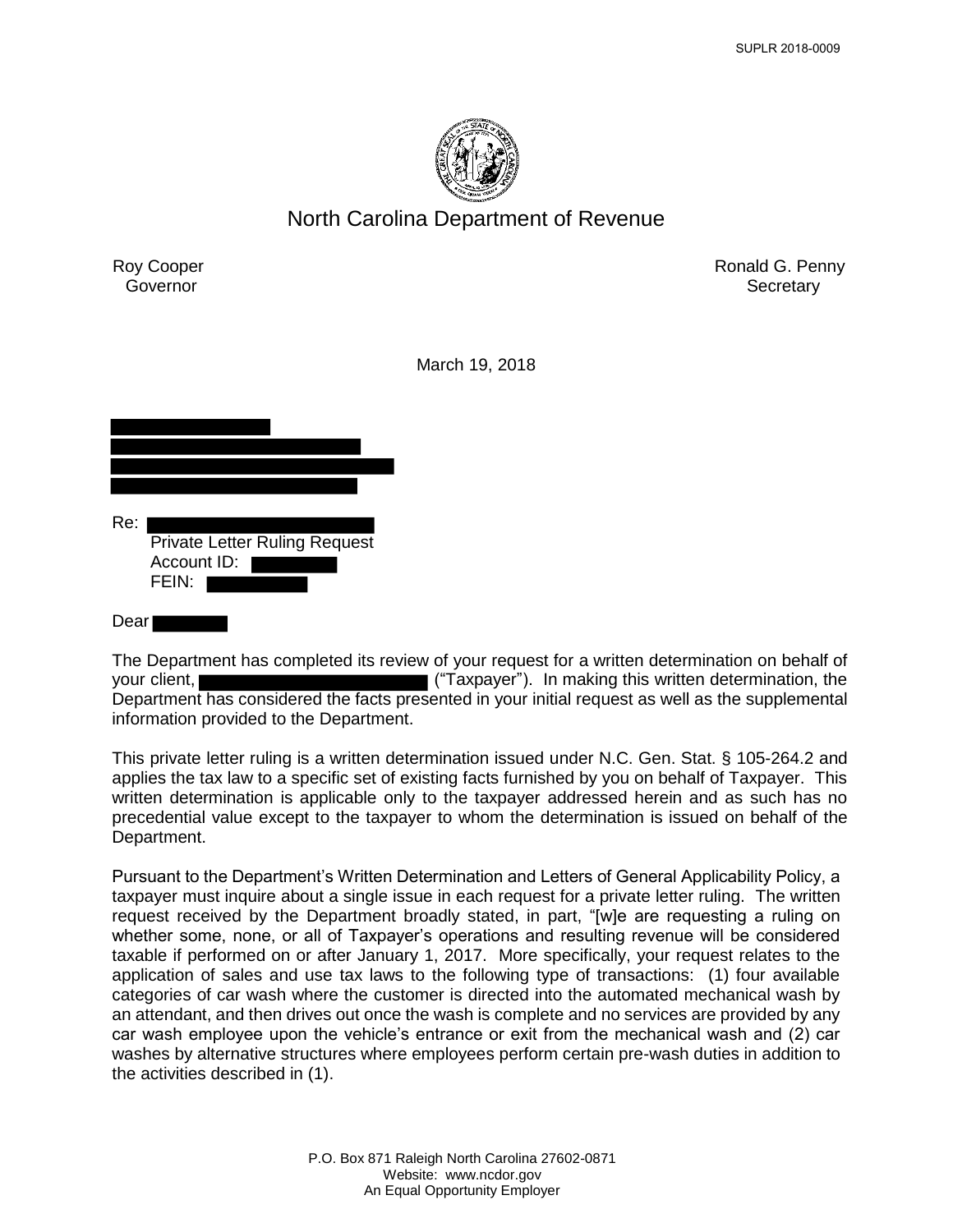

# North Carolina Department of Revenue

Roy Cooper **Governor** 

Ronald G. Penny **Secretary** 

March 19, 2018

| Re: | <b>Private Letter Ruling Request</b><br>Account ID:<br>FEIN: |
|-----|--------------------------------------------------------------|
| ear |                                                              |

The Department has completed its review of your request for a written determination on behalf of your client, ("Taxpayer"). In making this written determination, the Department has considered the facts presented in your initial request as well as the supplemental information provided to the Department.

This private letter ruling is a written determination issued under N.C. Gen. Stat. § 105-264.2 and applies the tax law to a specific set of existing facts furnished by you on behalf of Taxpayer. This written determination is applicable only to the taxpayer addressed herein and as such has no precedential value except to the taxpayer to whom the determination is issued on behalf of the Department.

Pursuant to the Department's Written Determination and Letters of General Applicability Policy, a taxpayer must inquire about a single issue in each request for a private letter ruling. The written request received by the Department broadly stated, in part, "[w]e are requesting a ruling on whether some, none, or all of Taxpayer's operations and resulting revenue will be considered taxable if performed on or after January 1, 2017. More specifically, your request relates to the application of sales and use tax laws to the following type of transactions: (1) four available categories of car wash where the customer is directed into the automated mechanical wash by an attendant, and then drives out once the wash is complete and no services are provided by any car wash employee upon the vehicle's entrance or exit from the mechanical wash and (2) car washes by alternative structures where employees perform certain pre-wash duties in addition to the activities described in (1).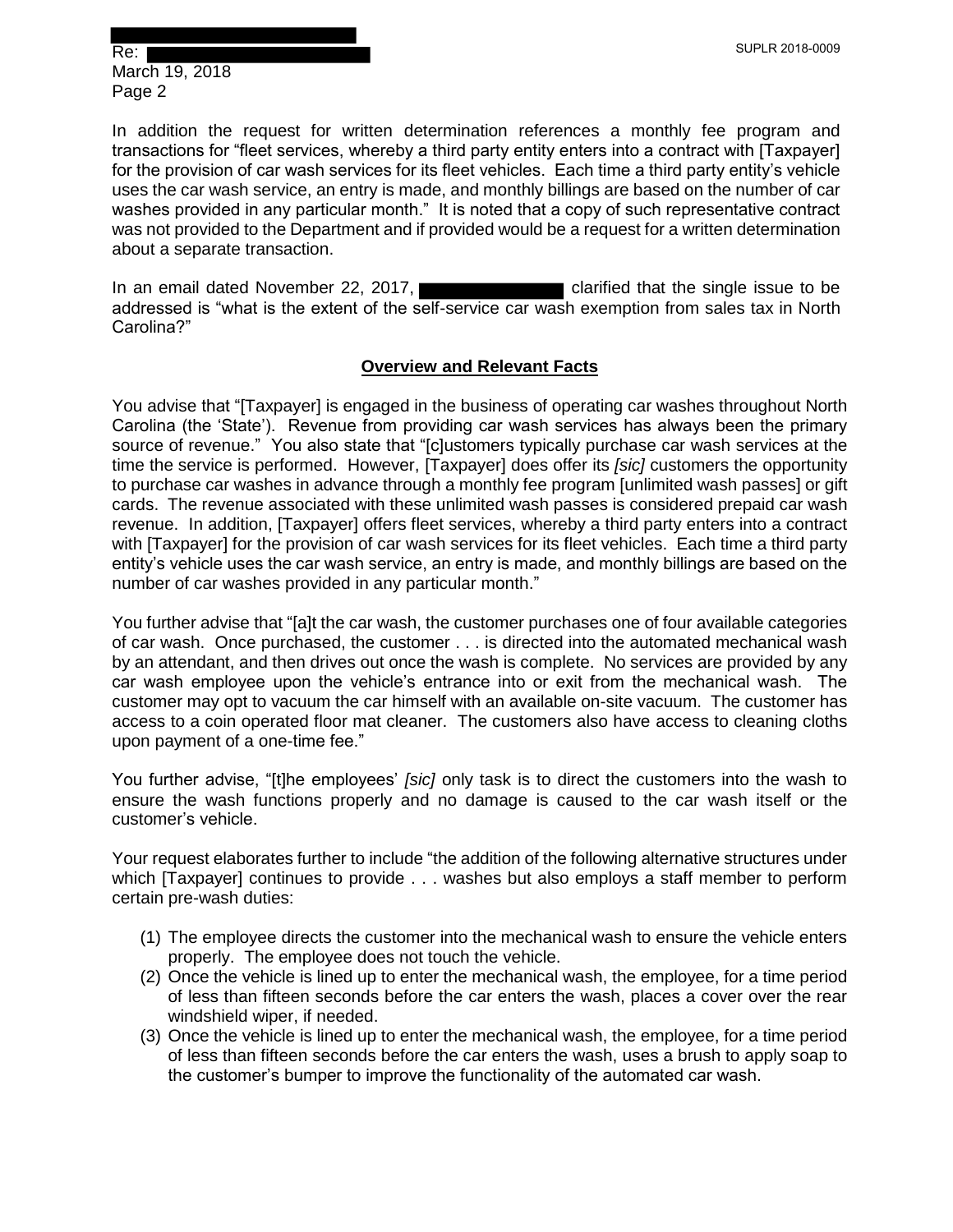In addition the request for written determination references a monthly fee program and transactions for "fleet services, whereby a third party entity enters into a contract with [Taxpayer] for the provision of car wash services for its fleet vehicles. Each time a third party entity's vehicle uses the car wash service, an entry is made, and monthly billings are based on the number of car washes provided in any particular month." It is noted that a copy of such representative contract was not provided to the Department and if provided would be a request for a written determination about a separate transaction.

In an email dated November 22, 2017, **contain that that the single issue to be** addressed is "what is the extent of the self-service car wash exemption from sales tax in North Carolina?"

## **Overview and Relevant Facts**

You advise that "[Taxpayer] is engaged in the business of operating car washes throughout North Carolina (the 'State'). Revenue from providing car wash services has always been the primary source of revenue." You also state that "[c]ustomers typically purchase car wash services at the time the service is performed. However, [Taxpayer] does offer its *[sic]* customers the opportunity to purchase car washes in advance through a monthly fee program [unlimited wash passes] or gift cards. The revenue associated with these unlimited wash passes is considered prepaid car wash revenue. In addition, [Taxpayer] offers fleet services, whereby a third party enters into a contract with [Taxpayer] for the provision of car wash services for its fleet vehicles. Each time a third party entity's vehicle uses the car wash service, an entry is made, and monthly billings are based on the number of car washes provided in any particular month."

You further advise that "[a]t the car wash, the customer purchases one of four available categories of car wash. Once purchased, the customer . . . is directed into the automated mechanical wash by an attendant, and then drives out once the wash is complete. No services are provided by any car wash employee upon the vehicle's entrance into or exit from the mechanical wash. The customer may opt to vacuum the car himself with an available on-site vacuum. The customer has access to a coin operated floor mat cleaner. The customers also have access to cleaning cloths upon payment of a one-time fee."

You further advise, "[t]he employees' *[sic]* only task is to direct the customers into the wash to ensure the wash functions properly and no damage is caused to the car wash itself or the customer's vehicle.

Your request elaborates further to include "the addition of the following alternative structures under which [Taxpayer] continues to provide . . . washes but also employs a staff member to perform certain pre-wash duties:

- (1) The employee directs the customer into the mechanical wash to ensure the vehicle enters properly. The employee does not touch the vehicle.
- (2) Once the vehicle is lined up to enter the mechanical wash, the employee, for a time period of less than fifteen seconds before the car enters the wash, places a cover over the rear windshield wiper, if needed.
- (3) Once the vehicle is lined up to enter the mechanical wash, the employee, for a time period of less than fifteen seconds before the car enters the wash, uses a brush to apply soap to the customer's bumper to improve the functionality of the automated car wash.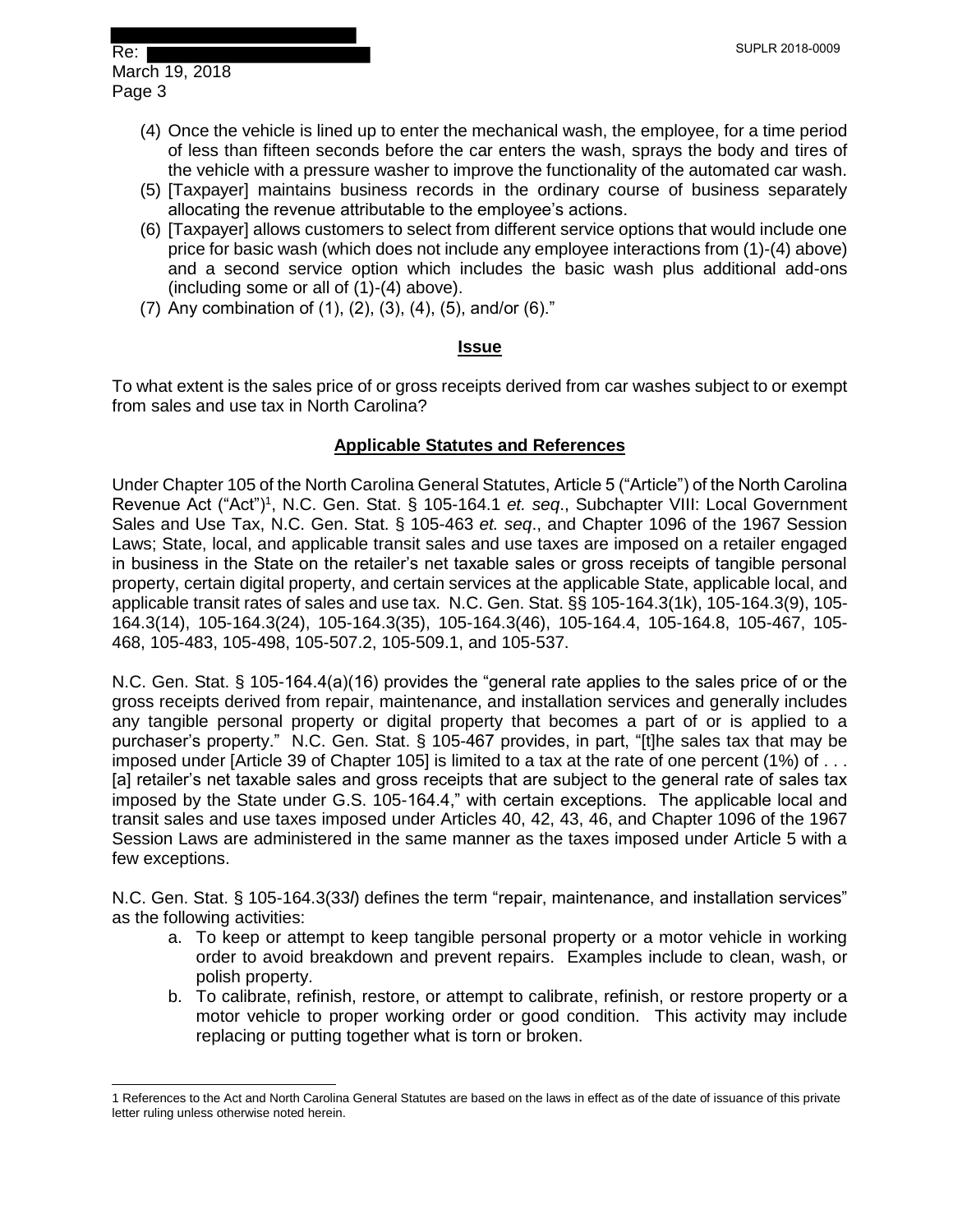- (4) Once the vehicle is lined up to enter the mechanical wash, the employee, for a time period of less than fifteen seconds before the car enters the wash, sprays the body and tires of the vehicle with a pressure washer to improve the functionality of the automated car wash.
- (5) [Taxpayer] maintains business records in the ordinary course of business separately allocating the revenue attributable to the employee's actions.
- (6) [Taxpayer] allows customers to select from different service options that would include one price for basic wash (which does not include any employee interactions from (1)-(4) above) and a second service option which includes the basic wash plus additional add-ons (including some or all of (1)-(4) above).
- (7) Any combination of (1), (2), (3), (4), (5), and/or (6)."

## **Issue**

To what extent is the sales price of or gross receipts derived from car washes subject to or exempt from sales and use tax in North Carolina?

## **Applicable Statutes and References**

Under Chapter 105 of the North Carolina General Statutes, Article 5 ("Article") of the North Carolina Revenue Act ("Act")<sup>1</sup>, N.C. Gen. Stat. § 105-164.1 *et. seq.*, Subchapter VIII: Local Government Sales and Use Tax, N.C. Gen. Stat. § 105-463 *et. seq*., and Chapter 1096 of the 1967 Session Laws; State, local, and applicable transit sales and use taxes are imposed on a retailer engaged in business in the State on the retailer's net taxable sales or gross receipts of tangible personal property, certain digital property, and certain services at the applicable State, applicable local, and applicable transit rates of sales and use tax. N.C. Gen. Stat. §§ 105-164.3(1k), 105-164.3(9), 105- 164.3(14), 105-164.3(24), 105-164.3(35), 105-164.3(46), 105-164.4, 105-164.8, 105-467, 105- 468, 105-483, 105-498, 105-507.2, 105-509.1, and 105-537.

N.C. Gen. Stat. § 105-164.4(a)(16) provides the "general rate applies to the sales price of or the gross receipts derived from repair, maintenance, and installation services and generally includes any tangible personal property or digital property that becomes a part of or is applied to a purchaser's property." N.C. Gen. Stat. § 105-467 provides, in part, "[t]he sales tax that may be imposed under [Article 39 of Chapter 105] is limited to a tax at the rate of one percent (1%) of . . . [a] retailer's net taxable sales and gross receipts that are subject to the general rate of sales tax imposed by the State under G.S. 105-164.4," with certain exceptions. The applicable local and transit sales and use taxes imposed under Articles 40, 42, 43, 46, and Chapter 1096 of the 1967 Session Laws are administered in the same manner as the taxes imposed under Article 5 with a few exceptions.

N.C. Gen. Stat. § 105-164.3(33*l*) defines the term "repair, maintenance, and installation services" as the following activities:

- a. To keep or attempt to keep tangible personal property or a motor vehicle in working order to avoid breakdown and prevent repairs. Examples include to clean, wash, or polish property.
- b. To calibrate, refinish, restore, or attempt to calibrate, refinish, or restore property or a motor vehicle to proper working order or good condition. This activity may include replacing or putting together what is torn or broken.

 $\overline{a}$ 1 References to the Act and North Carolina General Statutes are based on the laws in effect as of the date of issuance of this private letter ruling unless otherwise noted herein.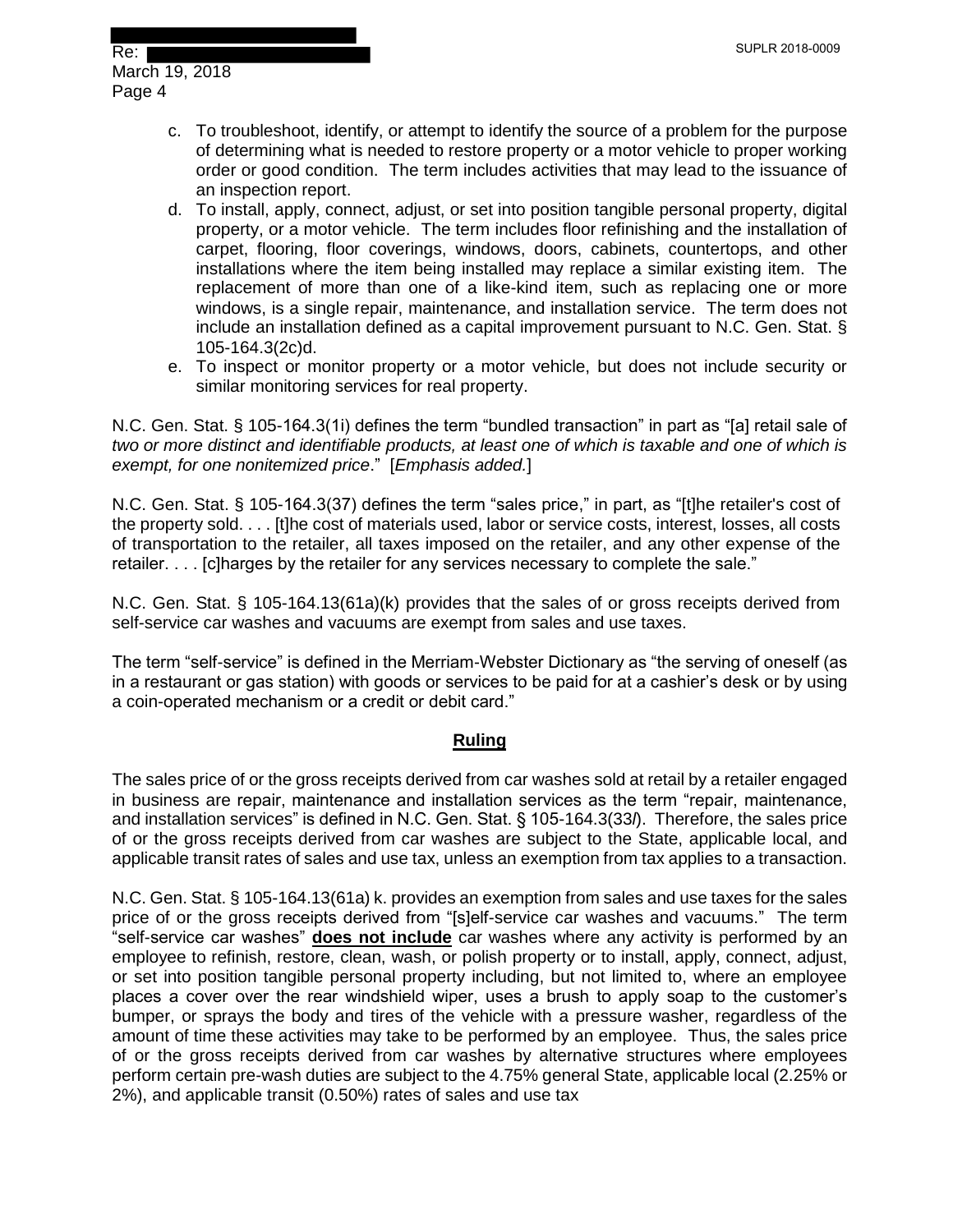- c. To troubleshoot, identify, or attempt to identify the source of a problem for the purpose of determining what is needed to restore property or a motor vehicle to proper working order or good condition. The term includes activities that may lead to the issuance of an inspection report.
- d. To install, apply, connect, adjust, or set into position tangible personal property, digital property, or a motor vehicle. The term includes floor refinishing and the installation of carpet, flooring, floor coverings, windows, doors, cabinets, countertops, and other installations where the item being installed may replace a similar existing item. The replacement of more than one of a like-kind item, such as replacing one or more windows, is a single repair, maintenance, and installation service. The term does not include an installation defined as a capital improvement pursuant to N.C. Gen. Stat. § 105-164.3(2c)d.
- e. To inspect or monitor property or a motor vehicle, but does not include security or similar monitoring services for real property.

N.C. Gen. Stat. § 105-164.3(1i) defines the term "bundled transaction" in part as "[a] retail sale of *two or more distinct and identifiable products, at least one of which is taxable and one of which is exempt, for one nonitemized price*." [*Emphasis added.*]

N.C. Gen. Stat. § 105-164.3(37) defines the term "sales price," in part, as "[t]he retailer's cost of the property sold. . . . [t]he cost of materials used, labor or service costs, interest, losses, all costs of transportation to the retailer, all taxes imposed on the retailer, and any other expense of the retailer. . . . [c]harges by the retailer for any services necessary to complete the sale."

N.C. Gen. Stat. § 105-164.13(61a)(k) provides that the sales of or gross receipts derived from self-service car washes and vacuums are exempt from sales and use taxes.

The term "self-service" is defined in the Merriam-Webster Dictionary as "the serving of oneself (as in a restaurant or gas station) with goods or services to be paid for at a cashier's desk or by using a coin-operated mechanism or a credit or debit card."

## **Ruling**

The sales price of or the gross receipts derived from car washes sold at retail by a retailer engaged in business are repair, maintenance and installation services as the term "repair, maintenance, and installation services" is defined in N.C. Gen. Stat. § 105-164.3(33*l*). Therefore, the sales price of or the gross receipts derived from car washes are subject to the State, applicable local, and applicable transit rates of sales and use tax, unless an exemption from tax applies to a transaction.

N.C. Gen. Stat. § 105-164.13(61a) k. provides an exemption from sales and use taxes for the sales price of or the gross receipts derived from "[s]elf-service car washes and vacuums." The term "self-service car washes" **does not include** car washes where any activity is performed by an employee to refinish, restore, clean, wash, or polish property or to install, apply, connect, adjust, or set into position tangible personal property including, but not limited to, where an employee places a cover over the rear windshield wiper, uses a brush to apply soap to the customer's bumper, or sprays the body and tires of the vehicle with a pressure washer, regardless of the amount of time these activities may take to be performed by an employee. Thus, the sales price of or the gross receipts derived from car washes by alternative structures where employees perform certain pre-wash duties are subject to the 4.75% general State, applicable local (2.25% or 2%), and applicable transit (0.50%) rates of sales and use tax